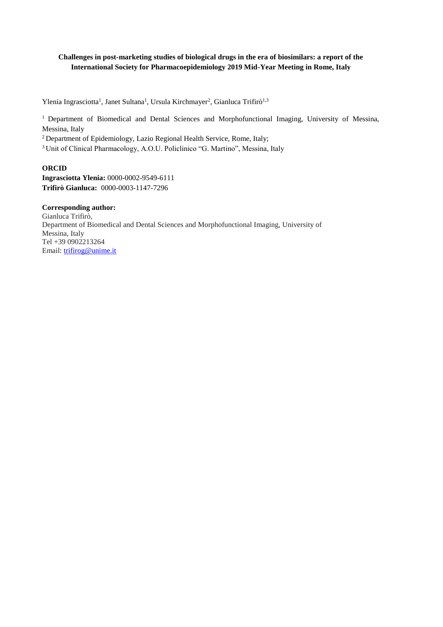# **Challenges in post-marketing studies of biological drugs in the era of biosimilars: a report of the International Society for Pharmacoepidemiology 2019 Mid-Year Meeting in Rome, Italy**

Ylenia Ingrasciotta<sup>1</sup>, Janet Sultana<sup>1</sup>, Ursula Kirchmayer<sup>2</sup>, Gianluca Trifirò<sup>1,3</sup>

<sup>1</sup> Department of Biomedical and Dental Sciences and Morphofunctional Imaging, University of Messina, Messina, Italy

<sup>2</sup> Department of Epidemiology, Lazio Regional Health Service, Rome, Italy;

<sup>3</sup> Unit of Clinical Pharmacology, A.O.U. Policlinico "G. Martino", Messina, Italy

# **ORCID**

**Ingrasciotta Ylenia:** 0000-0002-9549-6111 **Trifirò Gianluca:** 0000-0003-1147-7296

**Corresponding author:** Gianluca Trifirò, Department of Biomedical and Dental Sciences and Morphofunctional Imaging, University of Messina, Italy Tel +39 0902213264 Email: [trifirog@unime.it](mailto:trifirog@unime.it)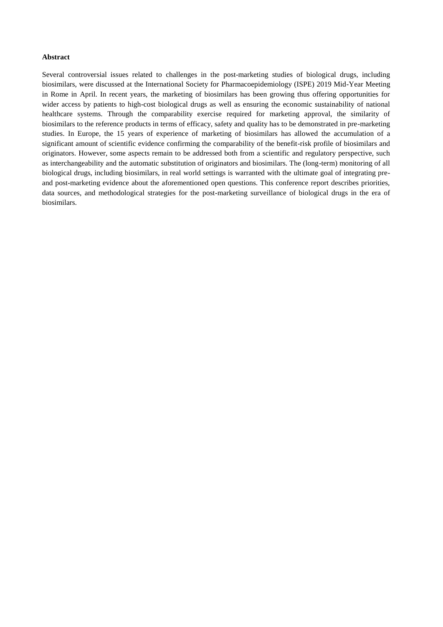# **Abstract**

Several controversial issues related to challenges in the post-marketing studies of biological drugs, including biosimilars, were discussed at the International Society for Pharmacoepidemiology (ISPE) 2019 Mid-Year Meeting in Rome in April. In recent years, the marketing of biosimilars has been growing thus offering opportunities for wider access by patients to high-cost biological drugs as well as ensuring the economic sustainability of national healthcare systems. Through the comparability exercise required for marketing approval, the similarity of biosimilars to the reference products in terms of efficacy, safety and quality has to be demonstrated in pre-marketing studies. In Europe, the 15 years of experience of marketing of biosimilars has allowed the accumulation of a significant amount of scientific evidence confirming the comparability of the benefit-risk profile of biosimilars and originators. However, some aspects remain to be addressed both from a scientific and regulatory perspective, such as interchangeability and the automatic substitution of originators and biosimilars. The (long-term) monitoring of all biological drugs, including biosimilars, in real world settings is warranted with the ultimate goal of integrating preand post-marketing evidence about the aforementioned open questions. This conference report describes priorities, data sources, and methodological strategies for the post-marketing surveillance of biological drugs in the era of biosimilars.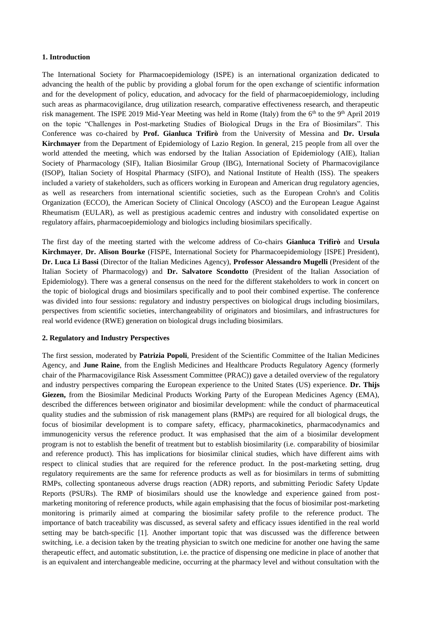## **1. Introduction**

The International Society for Pharmacoepidemiology (ISPE) is an international organization dedicated to advancing the health of the public by providing a global forum for the open exchange of scientific information and for the development of policy, education, and advocacy for the field of pharmacoepidemiology, including such areas as pharmacovigilance, drug utilization research, comparative effectiveness research, and therapeutic risk management. The ISPE 2019 Mid-Year Meeting was held in Rome (Italy) from the  $6<sup>th</sup>$  to the 9<sup>th</sup> April 2019 on the topic "Challenges in Post-marketing Studies of Biological Drugs in the Era of Biosimilars". This Conference was co-chaired by **Prof. Gianluca Trifirò** from the University of Messina and **Dr. Ursula Kirchmayer** from the Department of Epidemiology of Lazio Region. In general, 215 people from all over the world attended the meeting, which was endorsed by the Italian Association of Epidemiology (AIE), Italian Society of Pharmacology (SIF), Italian Biosimilar Group (IBG), International Society of Pharmacovigilance (ISOP), Italian Society of Hospital Pharmacy (SIFO), and National Institute of Health (ISS). The speakers included a variety of stakeholders, such as officers working in European and American drug regulatory agencies, as well as researchers from international scientific societies, such as the European Crohn's and Colitis Organization (ECCO), the American Society of Clinical Oncology (ASCO) and the European League Against Rheumatism (EULAR), as well as prestigious academic centres and industry with consolidated expertise on regulatory affairs, pharmacoepidemiology and biologics including biosimilars specifically.

The first day of the meeting started with the welcome address of Co-chairs **Gianluca Trifirò** and **Ursula Kirchmayer**, **Dr. Alison Bourke** (FISPE, International Society for Pharmacoepidemiology [ISPE] President), **Dr. Luca Li Bassi** (Director of the Italian Medicines Agency), **Professor Alessandro Mugelli** (President of the Italian Society of Pharmacology) and **Dr. Salvatore Scondotto** (President of the Italian Association of Epidemiology). There was a general consensus on the need for the different stakeholders to work in concert on the topic of biological drugs and biosimilars specifically and to pool their combined expertise. The conference was divided into four sessions: regulatory and industry perspectives on biological drugs including biosimilars, perspectives from scientific societies, interchangeability of originators and biosimilars, and infrastructures for real world evidence (RWE) generation on biological drugs including biosimilars.

### **2. Regulatory and Industry Perspectives**

The first session, moderated by **Patrizia Popoli**, President of the Scientific Committee of the Italian Medicines Agency, and **June Raine**, from the English Medicines and Healthcare Products Regulatory Agency (formerly chair of the Pharmacovigilance Risk Assessment Committee (PRAC)) gave a detailed overview of the regulatory and industry perspectives comparing the European experience to the United States (US) experience. **Dr. Thijs Giezen,** from the Biosimilar Medicinal Products Working Party of the European Medicines Agency (EMA), described the differences between originator and biosimilar development: while the conduct of pharmaceutical quality studies and the submission of risk management plans (RMPs) are required for all biological drugs, the focus of biosimilar development is to compare safety, efficacy, pharmacokinetics, pharmacodynamics and immunogenicity versus the reference product. It was emphasised that the aim of a biosimilar development program is not to establish the benefit of treatment but to establish biosimilarity (i.e. comparability of biosimilar and reference product). This has implications for biosimilar clinical studies, which have different aims with respect to clinical studies that are required for the reference product. In the post-marketing setting, drug regulatory requirements are the same for reference products as well as for biosimilars in terms of submitting RMPs, collecting spontaneous adverse drugs reaction (ADR) reports, and submitting Periodic Safety Update Reports (PSURs). The RMP of biosimilars should use the knowledge and experience gained from postmarketing monitoring of reference products, while again emphasising that the focus of biosimilar post-marketing monitoring is primarily aimed at comparing the biosimilar safety profile to the reference product. The importance of batch traceability was discussed, as several safety and efficacy issues identified in the real world setting may be batch-specific [1]. Another important topic that was discussed was the difference between switching, i.e. a decision taken by the treating physician to switch one medicine for another one having the same therapeutic effect, and automatic substitution, i.e. the practice of dispensing one medicine in place of another that is an equivalent and interchangeable medicine, occurring at the pharmacy level and without consultation with the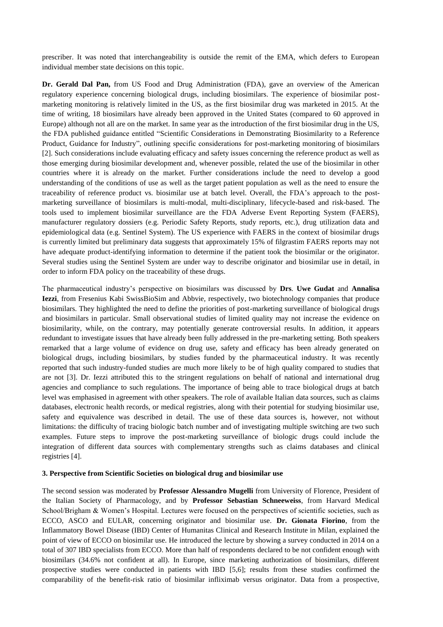prescriber. It was noted that interchangeability is outside the remit of the EMA, which defers to European individual member state decisions on this topic.

**Dr. Gerald Dal Pan,** from US Food and Drug Administration (FDA), gave an overview of the American regulatory experience concerning biological drugs, including biosimilars. The experience of biosimilar postmarketing monitoring is relatively limited in the US, as the first biosimilar drug was marketed in 2015. At the time of writing, 18 biosimilars have already been approved in the United States (compared to 60 approved in Europe) although not all are on the market. In same year as the introduction of the first biosimilar drug in the US, the FDA published guidance entitled "Scientific Considerations in Demonstrating Biosimilarity to a Reference Product, Guidance for Industry", outlining specific considerations for post-marketing monitoring of biosimilars [2]. Such considerations include evaluating efficacy and safety issues concerning the reference product as well as those emerging during biosimilar development and, whenever possible, related the use of the biosimilar in other countries where it is already on the market. Further considerations include the need to develop a good understanding of the conditions of use as well as the target patient population as well as the need to ensure the traceability of reference product vs. biosimilar use at batch level. Overall, the FDA's approach to the postmarketing surveillance of biosimilars is multi-modal, multi-disciplinary, lifecycle-based and risk-based. The tools used to implement biosimilar surveillance are the FDA Adverse Event Reporting System (FAERS), manufacturer regulatory dossiers (e.g. Periodic Safety Reports, study reports, etc.), drug utilization data and epidemiological data (e.g. Sentinel System). The US experience with FAERS in the context of biosimilar drugs is currently limited but preliminary data suggests that approximately 15% of filgrastim FAERS reports may not have adequate product-identifying information to determine if the patient took the biosimilar or the originator. Several studies using the Sentinel System are under way to describe originator and biosimilar use in detail, in order to inform FDA policy on the traceability of these drugs.

The pharmaceutical industry's perspective on biosimilars was discussed by **Drs**. **Uwe Gudat** and **Annalisa Iezzi**, from Fresenius Kabi SwissBioSim and Abbvie, respectively, two biotechnology companies that produce biosimilars. They highlighted the need to define the priorities of post-marketing surveillance of biological drugs and biosimilars in particular. Small observational studies of limited quality may not increase the evidence on biosimilarity, while, on the contrary, may potentially generate controversial results. In addition, it appears redundant to investigate issues that have already been fully addressed in the pre-marketing setting. Both speakers remarked that a large volume of evidence on drug use, safety and efficacy has been already generated on biological drugs, including biosimilars, by studies funded by the pharmaceutical industry. It was recently reported that such industry-funded studies are much more likely to be of high quality compared to studies that are not [3]. Dr. Iezzi attributed this to the stringent regulations on behalf of national and international drug agencies and compliance to such regulations. The importance of being able to trace biological drugs at batch level was emphasised in agreement with other speakers. The role of available Italian data sources, such as claims databases, electronic health records, or medical registries, along with their potential for studying biosimilar use, safety and equivalence was described in detail. The use of these data sources is, however, not without limitations: the difficulty of tracing biologic batch number and of investigating multiple switching are two such examples. Future steps to improve the post-marketing surveillance of biologic drugs could include the integration of different data sources with complementary strengths such as claims databases and clinical registries [4].

## **3. Perspective from Scientific Societies on biological drug and biosimilar use**

The second session was moderated by **Professor Alessandro Mugelli** from University of Florence, President of the Italian Society of Pharmacology, and by **Professor Sebastian Schneeweiss**, from Harvard Medical School/Brigham & Women's Hospital. Lectures were focused on the perspectives of scientific societies, such as ECCO, ASCO and EULAR, concerning originator and biosimilar use. **Dr. Gionata Fiorino**, from the Inflammatory Bowel Disease (IBD) Center of Humanitas Clinical and Research Institute in Milan, explained the point of view of ECCO on biosimilar use. He introduced the lecture by showing a survey conducted in 2014 on a total of 307 IBD specialists from ECCO. More than half of respondents declared to be not confident enough with biosimilars (34.6% not confident at all). In Europe, since marketing authorization of biosimilars, different prospective studies were conducted in patients with IBD [5,6]; results from these studies confirmed the comparability of the benefit-risk ratio of biosimilar infliximab versus originator. Data from a prospective,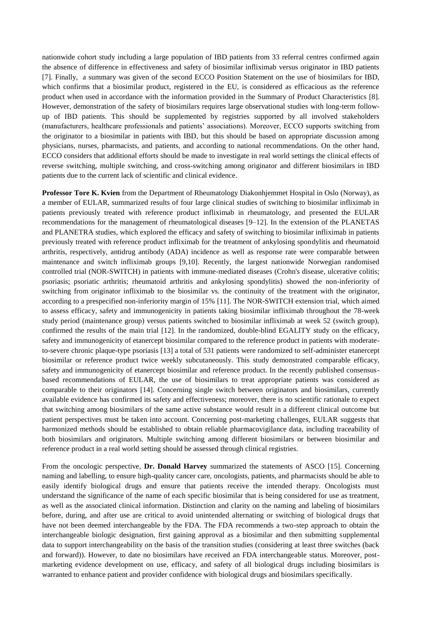nationwide cohort study including a large population of IBD patients from 33 referral centres confirmed again the absence of difference in effectiveness and safety of biosimilar infliximab versus originator in IBD patients [7]. Finally, a summary was given of the second ECCO Position Statement on the use of biosimilars for IBD, which confirms that a biosimilar product, registered in the EU, is considered as efficacious as the reference product when used in accordance with the information provided in the Summary of Product Characteristics [8]. However, demonstration of the safety of biosimilars requires large observational studies with long-term followup of IBD patients. This should be supplemented by registries supported by all involved stakeholders (manufacturers, healthcare professionals and patients' associations). Moreover, ECCO supports switching from the originator to a biosimilar in patients with IBD, but this should be based on appropriate discussion among physicians, nurses, pharmacists, and patients, and according to national recommendations. On the other hand, ECCO considers that additional efforts should be made to investigate in real world settings the clinical effects of reverse switching, multiple switching, and cross-switching among originator and different biosimilars in IBD patients due to the current lack of scientific and clinical evidence.

**Professor Tore K. Kvien** from the Department of Rheumatology Diakonhjemmet Hospital in Oslo (Norway), as a member of EULAR, summarized results of four large clinical studies of switching to biosimilar infliximab in patients previously treated with reference product infliximab in rheumatology, and presented the EULAR recommendations for the management of rheumatological diseases [9–12]. In the extension of the PLANETAS and PLANETRA studies, which explored the efficacy and safety of switching to biosimilar infliximab in patients previously treated with reference product infliximab for the treatment of ankylosing spondylitis and rheumatoid arthritis, respectively, antidrug antibody (ADA) incidence as well as response rate were comparable between maintenance and switch infliximab groups [9,10]. Recently, the largest nationwide Norwegian randomised controlled trial (NOR-SWITCH) in patients with immune-mediated diseases (Crohn's disease, ulcerative colitis; psoriasis; psoriatic arthritis; rheumatoid arthritis and ankylosing spondylitis) showed the non-inferiority of switching from originator infliximab to the biosimilar vs. the continuity of the treatment with the originator, according to a prespecified non-inferiority margin of 15% [11]. The NOR-SWITCH extension trial, which aimed to assess efficacy, safety and immunogenicity in patients taking biosimilar infliximab throughout the 78-week study period (maintenance group) versus patients switched to biosimilar infliximab at week 52 (switch group), confirmed the results of the main trial [12]. In the randomized, double-blind EGALITY study on the efficacy, safety and immunogenicity of etanercept biosimilar compared to the reference product in patients with moderateto-severe chronic plaque-type psoriasis [13] a total of 531 patients were randomized to self-administer etanercept biosimilar or reference product twice weekly subcutaneously. This study demonstrated comparable efficacy, safety and immunogenicity of etanercept biosimilar and reference product. In the recently published consensusbased recommendations of EULAR, the use of biosimilars to treat appropriate patients was considered as comparable to their originators [14]. Concerning single switch between originators and biosimilars, currently available evidence has confirmed its safety and effectiveness; moreover, there is no scientific rationale to expect that switching among biosimilars of the same active substance would result in a different clinical outcome but patient perspectives must be taken into account. Concerning post-marketing challenges, EULAR suggests that harmonized methods should be established to obtain reliable pharmacovigilance data, including traceability of both biosimilars and originators. Multiple switching among different biosimilars or between biosimilar and reference product in a real world setting should be assessed through clinical registries.

From the oncologic perspective, **Dr. Donald Harvey** summarized the statements of ASCO [15]. Concerning naming and labelling, to ensure high-quality cancer care, oncologists, patients, and pharmacists should be able to easily identify biological drugs and ensure that patients receive the intended therapy. Oncologists must understand the significance of the name of each specific biosimilar that is being considered for use as treatment, as well as the associated clinical information. Distinction and clarity on the naming and labeling of biosimilars before, during, and after use are critical to avoid unintended alternating or switching of biological drugs that have not been deemed interchangeable by the FDA. The FDA recommends a two-step approach to obtain the interchangeable biologic designation, first gaining approval as a biosimilar and then submitting supplemental data to support interchangeability on the basis of the transition studies (considering at least three switches (back and forward)). However, to date no biosimilars have received an FDA interchangeable status. Moreover, postmarketing evidence development on use, efficacy, and safety of all biological drugs including biosimilars is warranted to enhance patient and provider confidence with biological drugs and biosimilars specifically.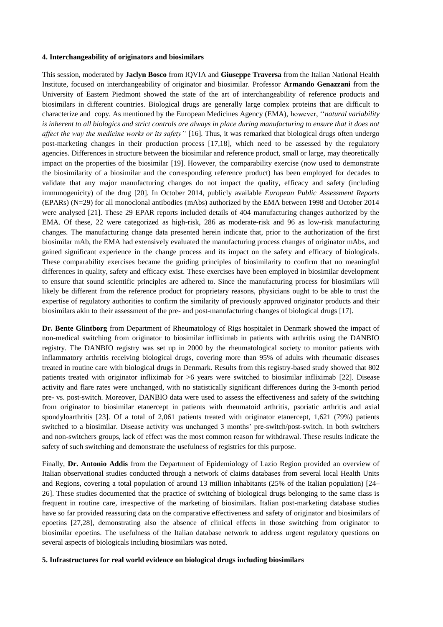#### **4. Interchangeability of originators and biosimilars**

This session, moderated by **Jaclyn Bosco** from IQVIA and **Giuseppe Traversa** from the Italian National Health Institute, focused on interchangeability of originator and biosimilar. Professor **Armando Genazzani** from the University of Eastern Piedmont showed the state of the art of interchangeability of reference products and biosimilars in different countries. Biological drugs are generally large complex proteins that are difficult to characterize and copy. As mentioned by the European Medicines Agency (EMA), however, ''*natural variability*  is inherent to all biologics and strict controls are always in place during manufacturing to ensure that it does not *affect the way the medicine works or its safety''* [16]*.* Thus, it was remarked that biological drugs often undergo post-marketing changes in their production process [17,18], which need to be assessed by the regulatory agencies. Differences in structure between the biosimilar and reference product, small or large, may theoretically impact on the properties of the biosimilar [19]. However, the comparability exercise (now used to demonstrate the biosimilarity of a biosimilar and the corresponding reference product) has been employed for decades to validate that any major manufacturing changes do not impact the quality, efficacy and safety (including immunogenicity) of the drug [20]. In October 2014, publicly available *European Public Assessment Reports* (EPARs) (N=29) for all monoclonal antibodies (mAbs) authorized by the EMA between 1998 and October 2014 were analysed [21]. These 29 EPAR reports included details of 404 manufacturing changes authorized by the EMA. Of these, 22 were categorized as high-risk, 286 as moderate-risk and 96 as low-risk manufacturing changes. The manufacturing change data presented herein indicate that, prior to the authorization of the first biosimilar mAb, the EMA had extensively evaluated the manufacturing process changes of originator mAbs, and gained significant experience in the change process and its impact on the safety and efficacy of biologicals. These comparability exercises became the guiding principles of biosimilarity to confirm that no meaningful differences in quality, safety and efficacy exist. These exercises have been employed in biosimilar development to ensure that sound scientific principles are adhered to. Since the manufacturing process for biosimilars will likely be different from the reference product for proprietary reasons, physicians ought to be able to trust the expertise of regulatory authorities to confirm the similarity of previously approved originator products and their biosimilars akin to their assessment of the pre- and post-manufacturing changes of biological drugs [17].

**Dr. Bente Glintborg** from Department of Rheumatology of Rigs hospitalet in Denmark showed the impact of non-medical switching from originator to biosimilar infliximab in patients with arthritis using the DANBIO registry. The DANBIO registry was set up in 2000 by the rheumatological society to monitor patients with inflammatory arthritis receiving biological drugs, covering more than 95% of adults with rheumatic diseases treated in routine care with biological drugs in Denmark. Results from this registry-based study showed that 802 patients treated with originator infliximab for >6 years were switched to biosimilar infliximab [22]. Disease activity and flare rates were unchanged, with no statistically significant differences during the 3-month period pre- vs. post-switch. Moreover, DANBIO data were used to assess the effectiveness and safety of the switching from originator to biosimilar etanercept in patients with rheumatoid arthritis, psoriatic arthritis and axial spondyloarthritis [23]. Of a total of 2,061 patients treated with originator etanercept, 1,621 (79%) patients switched to a biosimilar. Disease activity was unchanged 3 months' pre-switch/post-switch. In both switchers and non-switchers groups, lack of effect was the most common reason for withdrawal. These results indicate the safety of such switching and demonstrate the usefulness of registries for this purpose.

Finally, **Dr. Antonio Addis** from the Department of Epidemiology of Lazio Region provided an overview of Italian observational studies conducted through a network of claims databases from several local Health Units and Regions, covering a total population of around 13 million inhabitants (25% of the Italian population) [24– 26]. These studies documented that the practice of switching of biological drugs belonging to the same class is frequent in routine care, irrespective of the marketing of biosimilars. Italian post-marketing database studies have so far provided reassuring data on the comparative effectiveness and safety of originator and biosimilars of epoetins [27,28], demonstrating also the absence of clinical effects in those switching from originator to biosimilar epoetins. The usefulness of the Italian database network to address urgent regulatory questions on several aspects of biologicals including biosimilars was noted.

### **5. Infrastructures for real world evidence on biological drugs including biosimilars**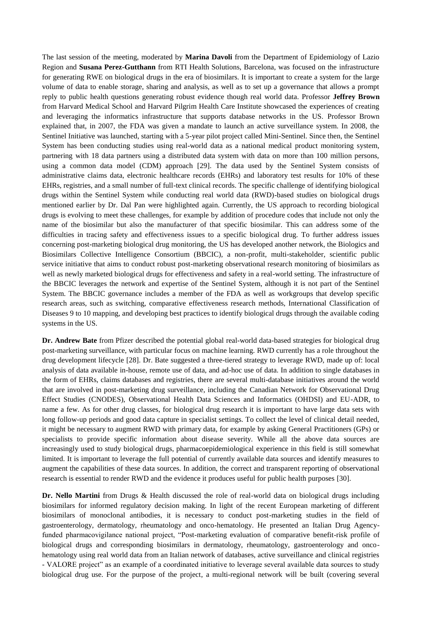The last session of the meeting, moderated by **Marina Davoli** from the Department of Epidemiology of Lazio Region and **Susana Perez-Gutthann** from RTI Health Solutions, Barcelona, was focused on the infrastructure for generating RWE on biological drugs in the era of biosimilars. It is important to create a system for the large volume of data to enable storage, sharing and analysis, as well as to set up a governance that allows a prompt reply to public health questions generating robust evidence though real world data. Professor **Jeffrey Brown** from Harvard Medical School and Harvard Pilgrim Health Care Institute showcased the experiences of creating and leveraging the informatics infrastructure that supports database networks in the US. Professor Brown explained that, in 2007, the FDA was given a mandate to launch an active surveillance system. In 2008, the Sentinel Initiative was launched, starting with a 5-year pilot project called Mini-Sentinel. Since then, the Sentinel System has been conducting studies using real-world data as a national medical product monitoring system, partnering with 18 data partners using a distributed data system with data on more than 100 million persons, using a common data model (CDM) approach [29]. The data used by the Sentinel System consists of administrative claims data, electronic healthcare records (EHRs) and laboratory test results for 10% of these EHRs, registries, and a small number of full-text clinical records. The specific challenge of identifying biological drugs within the Sentinel System while conducting real world data (RWD)-based studies on biological drugs mentioned earlier by Dr. Dal Pan were highlighted again. Currently, the US approach to recording biological drugs is evolving to meet these challenges, for example by addition of procedure codes that include not only the name of the biosimilar but also the manufacturer of that specific biosimilar. This can address some of the difficulties in tracing safety and effectiveness issues to a specific biological drug. To further address issues concerning post-marketing biological drug monitoring, the US has developed another network, the Biologics and Biosimilars Collective Intelligence Consortium (BBCIC), a non-profit, multi-stakeholder, scientific public service initiative that aims to conduct robust post-marketing observational research monitoring of biosimilars as well as newly marketed biological drugs for effectiveness and safety in a real-world setting. The infrastructure of the BBCIC leverages the network and expertise of the Sentinel System, although it is not part of the Sentinel System. The BBCIC governance includes a member of the FDA as well as workgroups that develop specific research areas, such as switching, comparative effectiveness research methods, International Classification of Diseases 9 to 10 mapping, and developing best practices to identify biological drugs through the available coding systems in the US.

**Dr. Andrew Bate** from Pfizer described the potential global real-world data-based strategies for biological drug post-marketing surveillance, with particular focus on machine learning. RWD currently has a role throughout the drug development lifecycle [28]. Dr. Bate suggested a three-tiered strategy to leverage RWD, made up of: local analysis of data available in-house, remote use of data, and ad-hoc use of data. In addition to single databases in the form of EHRs, claims databases and registries, there are several multi-database initiatives around the world that are involved in post-marketing drug surveillance, including the Canadian Network for Observational Drug Effect Studies (CNODES), Observational Health Data Sciences and Informatics (OHDSI) and EU-ADR, to name a few. As for other drug classes, for biological drug research it is important to have large data sets with long follow-up periods and good data capture in specialist settings. To collect the level of clinical detail needed, it might be necessary to augment RWD with primary data, for example by asking General Practitioners (GPs) or specialists to provide specific information about disease severity. While all the above data sources are increasingly used to study biological drugs, pharmacoepidemiological experience in this field is still somewhat limited. It is important to leverage the full potential of currently available data sources and identify measures to augment the capabilities of these data sources. In addition, the correct and transparent reporting of observational research is essential to render RWD and the evidence it produces useful for public health purposes [30].

**Dr. Nello Martini** from Drugs & Health discussed the role of real-world data on biological drugs including biosimilars for informed regulatory decision making. In light of the recent European marketing of different biosimilars of monoclonal antibodies, it is necessary to conduct post-marketing studies in the field of gastroenterology, dermatology, rheumatology and onco-hematology. He presented an Italian Drug Agencyfunded pharmacovigilance national project, "Post-marketing evaluation of comparative benefit-risk profile of biological drugs and corresponding biosimilars in dermatology, rheumatology, gastroenterology and oncohematology using real world data from an Italian network of databases, active surveillance and clinical registries - VALORE project" as an example of a coordinated initiative to leverage several available data sources to study biological drug use. For the purpose of the project, a multi-regional network will be built (covering several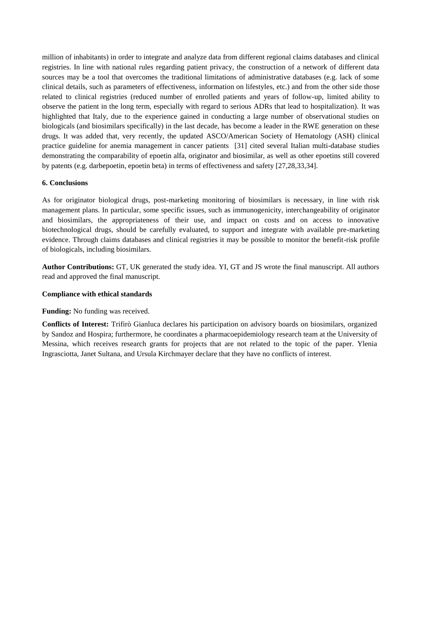million of inhabitants) in order to integrate and analyze data from different regional claims databases and clinical registries. In line with national rules regarding patient privacy, the construction of a network of different data sources may be a tool that overcomes the traditional limitations of administrative databases (e.g. lack of some clinical details, such as parameters of effectiveness, information on lifestyles, etc.) and from the other side those related to clinical registries (reduced number of enrolled patients and years of follow-up, limited ability to observe the patient in the long term, especially with regard to serious ADRs that lead to hospitalization). It was highlighted that Italy, due to the experience gained in conducting a large number of observational studies on biologicals (and biosimilars specifically) in the last decade, has become a leader in the RWE generation on these drugs. It was added that, very recently, the updated ASCO/American Society of Hematology (ASH) clinical practice guideline for anemia management in cancer patients [31] cited several Italian multi-database studies demonstrating the comparability of epoetin alfa, originator and biosimilar, as well as other epoetins still covered by patents (e.g. darbepoetin, epoetin beta) in terms of effectiveness and safety [27,28,33,34].

# **6. Conclusions**

As for originator biological drugs, post-marketing monitoring of biosimilars is necessary, in line with risk management plans. In particular, some specific issues, such as immunogenicity, interchangeability of originator and biosimilars, the appropriateness of their use, and impact on costs and on access to innovative biotechnological drugs, should be carefully evaluated, to support and integrate with available pre-marketing evidence. Through claims databases and clinical registries it may be possible to monitor the benefit-risk profile of biologicals, including biosimilars.

**Author Contributions:** GT, UK generated the study idea. YI, GT and JS wrote the final manuscript. All authors read and approved the final manuscript.

# **Compliance with ethical standards**

# **Funding:** No funding was received.

**Conflicts of Interest:** Trifirò Gianluca declares his participation on advisory boards on biosimilars, organized by Sandoz and Hospira; furthermore, he coordinates a pharmacoepidemiology research team at the University of Messina, which receives research grants for projects that are not related to the topic of the paper. Ylenia Ingrasciotta, Janet Sultana, and Ursula Kirchmayer declare that they have no conflicts of interest.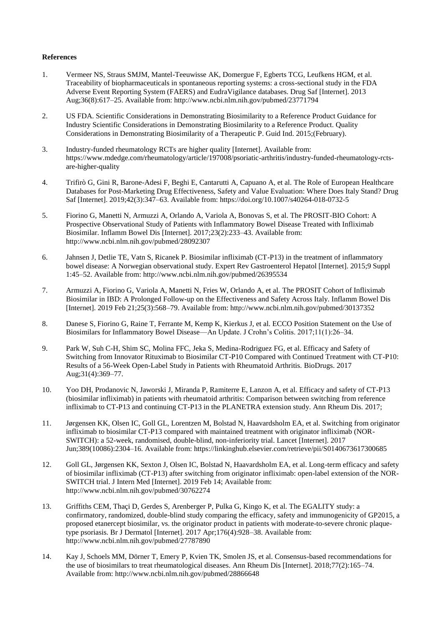# **References**

- 1. Vermeer NS, Straus SMJM, Mantel-Teeuwisse AK, Domergue F, Egberts TCG, Leufkens HGM, et al. Traceability of biopharmaceuticals in spontaneous reporting systems: a cross-sectional study in the FDA Adverse Event Reporting System (FAERS) and EudraVigilance databases. Drug Saf [Internet]. 2013 Aug;36(8):617–25. Available from: http://www.ncbi.nlm.nih.gov/pubmed/23771794
- 2. US FDA. Scientific Considerations in Demonstrating Biosimilarity to a Reference Product Guidance for Industry Scientific Considerations in Demonstrating Biosimilarity to a Reference Product. Quality Considerations in Demonstrating Biosimilarity of a Therapeutic P. Guid Ind. 2015;(February).
- 3. Industry-funded rheumatology RCTs are higher quality [Internet]. Available from: https://www.mdedge.com/rheumatology/article/197008/psoriatic-arthritis/industry-funded-rheumatology-rctsare-higher-quality
- 4. Trifirò G, Gini R, Barone-Adesi F, Beghi E, Cantarutti A, Capuano A, et al. The Role of European Healthcare Databases for Post-Marketing Drug Effectiveness, Safety and Value Evaluation: Where Does Italy Stand? Drug Saf [Internet]. 2019;42(3):347–63. Available from: https://doi.org/10.1007/s40264-018-0732-5
- 5. Fiorino G, Manetti N, Armuzzi A, Orlando A, Variola A, Bonovas S, et al. The PROSIT-BIO Cohort: A Prospective Observational Study of Patients with Inflammatory Bowel Disease Treated with Infliximab Biosimilar. Inflamm Bowel Dis [Internet]. 2017;23(2):233–43. Available from: http://www.ncbi.nlm.nih.gov/pubmed/28092307
- 6. Jahnsen J, Detlie TE, Vatn S, Ricanek P. Biosimilar infliximab (CT-P13) in the treatment of inflammatory bowel disease: A Norwegian observational study. Expert Rev Gastroenterol Hepatol [Internet]. 2015;9 Suppl 1:45–52. Available from: http://www.ncbi.nlm.nih.gov/pubmed/26395534
- 7. Armuzzi A, Fiorino G, Variola A, Manetti N, Fries W, Orlando A, et al. The PROSIT Cohort of Infliximab Biosimilar in IBD: A Prolonged Follow-up on the Effectiveness and Safety Across Italy. Inflamm Bowel Dis [Internet]. 2019 Feb 21;25(3):568–79. Available from: http://www.ncbi.nlm.nih.gov/pubmed/30137352
- 8. Danese S, Fiorino G, Raine T, Ferrante M, Kemp K, Kierkus J, et al. ECCO Position Statement on the Use of Biosimilars for Inflammatory Bowel Disease—An Update. J Crohn's Colitis. 2017;11(1):26–34.
- 9. Park W, Suh C-H, Shim SC, Molina FFC, Jeka S, Medina-Rodriguez FG, et al. Efficacy and Safety of Switching from Innovator Rituximab to Biosimilar CT-P10 Compared with Continued Treatment with CT-P10: Results of a 56-Week Open-Label Study in Patients with Rheumatoid Arthritis. BioDrugs. 2017 Aug;31(4):369–77.
- 10. Yoo DH, Prodanovic N, Jaworski J, Miranda P, Ramiterre E, Lanzon A, et al. Efficacy and safety of CT-P13 (biosimilar infliximab) in patients with rheumatoid arthritis: Comparison between switching from reference infliximab to CT-P13 and continuing CT-P13 in the PLANETRA extension study. Ann Rheum Dis. 2017;
- 11. Jørgensen KK, Olsen IC, Goll GL, Lorentzen M, Bolstad N, Haavardsholm EA, et al. Switching from originator infliximab to biosimilar CT-P13 compared with maintained treatment with originator infliximab (NOR-SWITCH): a 52-week, randomised, double-blind, non-inferiority trial. Lancet [Internet]. 2017 Jun;389(10086):2304–16. Available from: https://linkinghub.elsevier.com/retrieve/pii/S0140673617300685
- 12. Goll GL, Jørgensen KK, Sexton J, Olsen IC, Bolstad N, Haavardsholm EA, et al. Long-term efficacy and safety of biosimilar infliximab (CT-P13) after switching from originator infliximab: open-label extension of the NOR-SWITCH trial. J Intern Med [Internet]. 2019 Feb 14; Available from: http://www.ncbi.nlm.nih.gov/pubmed/30762274
- 13. Griffiths CEM, Thaçi D, Gerdes S, Arenberger P, Pulka G, Kingo K, et al. The EGALITY study: a confirmatory, randomized, double-blind study comparing the efficacy, safety and immunogenicity of GP2015, a proposed etanercept biosimilar, vs. the originator product in patients with moderate-to-severe chronic plaquetype psoriasis. Br J Dermatol [Internet]. 2017 Apr;176(4):928–38. Available from: http://www.ncbi.nlm.nih.gov/pubmed/27787890
- 14. Kay J, Schoels MM, Dörner T, Emery P, Kvien TK, Smolen JS, et al. Consensus-based recommendations for the use of biosimilars to treat rheumatological diseases. Ann Rheum Dis [Internet]. 2018;77(2):165–74. Available from: http://www.ncbi.nlm.nih.gov/pubmed/28866648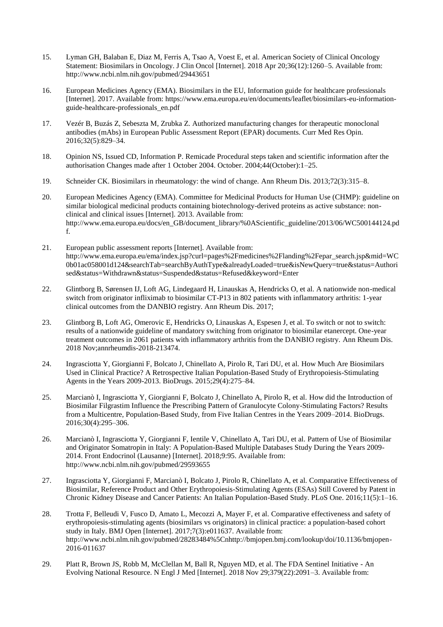- 15. Lyman GH, Balaban E, Diaz M, Ferris A, Tsao A, Voest E, et al. American Society of Clinical Oncology Statement: Biosimilars in Oncology. J Clin Oncol [Internet]. 2018 Apr 20;36(12):1260–5. Available from: http://www.ncbi.nlm.nih.gov/pubmed/29443651
- 16. European Medicines Agency (EMA). Biosimilars in the EU, Information guide for healthcare professionals [Internet]. 2017. Available from: https://www.ema.europa.eu/en/documents/leaflet/biosimilars-eu-informationguide-healthcare-professionals\_en.pdf
- 17. Vezér B, Buzás Z, Sebeszta M, Zrubka Z. Authorized manufacturing changes for therapeutic monoclonal antibodies (mAbs) in European Public Assessment Report (EPAR) documents. Curr Med Res Opin. 2016;32(5):829–34.
- 18. Opinion NS, Issued CD, Information P. Remicade Procedural steps taken and scientific information after the authorisation Changes made after 1 October 2004. October. 2004;44(October):1–25.
- 19. Schneider CK. Biosimilars in rheumatology: the wind of change. Ann Rheum Dis. 2013;72(3):315–8.
- 20. European Medicines Agency (EMA). Committee for Medicinal Products for Human Use (CHMP): guideline on similar biological medicinal products containing biotechnology-derived proteins as active substance: nonclinical and clinical issues [Internet]. 2013. Available from: http://www.ema.europa.eu/docs/en\_GB/document\_library/%0AScientific\_guideline/2013/06/WC500144124.pd f.
- 21. European public assessment reports [Internet]. Available from: http://www.ema.europa.eu/ema/index.jsp?curl=pages%2Fmedicines%2Flanding%2Fepar\_search.jsp&mid=WC 0b01ac058001d124&searchTab=searchByAuthType&alreadyLoaded=true&isNewQuery=true&status=Authori sed&status=Withdrawn&status=Suspended&status=Refused&keyword=Enter
- 22. Glintborg B, Sørensen IJ, Loft AG, Lindegaard H, Linauskas A, Hendricks O, et al. A nationwide non-medical switch from originator infliximab to biosimilar CT-P13 in 802 patients with inflammatory arthritis: 1-year clinical outcomes from the DANBIO registry. Ann Rheum Dis. 2017;
- 23. Glintborg B, Loft AG, Omerovic E, Hendricks O, Linauskas A, Espesen J, et al. To switch or not to switch: results of a nationwide guideline of mandatory switching from originator to biosimilar etanercept. One-year treatment outcomes in 2061 patients with inflammatory arthritis from the DANBIO registry. Ann Rheum Dis. 2018 Nov;annrheumdis-2018-213474.
- 24. Ingrasciotta Y, Giorgianni F, Bolcato J, Chinellato A, Pirolo R, Tari DU, et al. How Much Are Biosimilars Used in Clinical Practice? A Retrospective Italian Population-Based Study of Erythropoiesis-Stimulating Agents in the Years 2009-2013. BioDrugs. 2015;29(4):275–84.
- 25. Marcianò I, Ingrasciotta Y, Giorgianni F, Bolcato J, Chinellato A, Pirolo R, et al. How did the Introduction of Biosimilar Filgrastim Influence the Prescribing Pattern of Granulocyte Colony-Stimulating Factors? Results from a Multicentre, Population-Based Study, from Five Italian Centres in the Years 2009–2014. BioDrugs. 2016;30(4):295–306.
- 26. Marcianò I, Ingrasciotta Y, Giorgianni F, Ientile V, Chinellato A, Tari DU, et al. Pattern of Use of Biosimilar and Originator Somatropin in Italy: A Population-Based Multiple Databases Study During the Years 2009- 2014. Front Endocrinol (Lausanne) [Internet]. 2018;9:95. Available from: http://www.ncbi.nlm.nih.gov/pubmed/29593655
- 27. Ingrasciotta Y, Giorgianni F, Marcianò I, Bolcato J, Pirolo R, Chinellato A, et al. Comparative Effectiveness of Biosimilar, Reference Product and Other Erythropoiesis-Stimulating Agents (ESAs) Still Covered by Patent in Chronic Kidney Disease and Cancer Patients: An Italian Population-Based Study. PLoS One. 2016;11(5):1–16.
- 28. Trotta F, Belleudi V, Fusco D, Amato L, Mecozzi A, Mayer F, et al. Comparative effectiveness and safety of erythropoiesis-stimulating agents (biosimilars vs originators) in clinical practice: a population-based cohort study in Italy. BMJ Open [Internet]. 2017;7(3):e011637. Available from: http://www.ncbi.nlm.nih.gov/pubmed/28283484%5Cnhttp://bmjopen.bmj.com/lookup/doi/10.1136/bmjopen-2016-011637
- 29. Platt R, Brown JS, Robb M, McClellan M, Ball R, Nguyen MD, et al. The FDA Sentinel Initiative An Evolving National Resource. N Engl J Med [Internet]. 2018 Nov 29;379(22):2091–3. Available from: